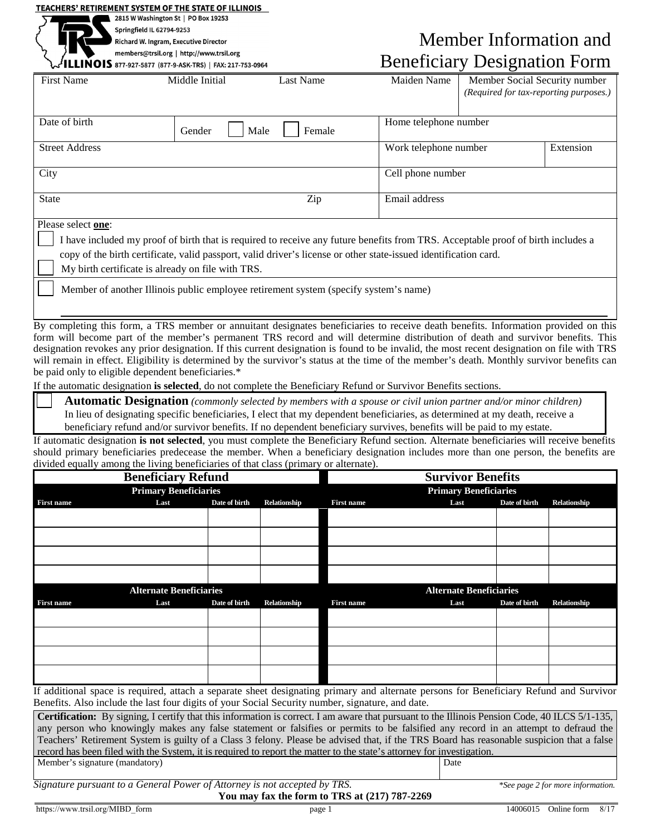## TEACHERS' RETIREMENT SYSTEM OF THE STATE OF ILLINOIS

be paid only to eligible dependent beneficiaries.\*

2815 W Washington St | PO Box 19253

Springfield IL 62794-9253

Richard W. Ingram, Executive Director

members@trsil.org | http://www.trsil.org NOIS 877-927-5877 (877-9-ASK-TRS) | FAX: 217-753-0964

Member Information and Beneficiary Designation Form

| <b>First Name</b>                                                                                                                                                                                                                                                                                                                                                                                                                                                                                                                                                   | Middle Initial    | Last Name | Maiden Name                        | Member Social Security number<br>(Required for tax-reporting purposes.) |  |  |  |  |
|---------------------------------------------------------------------------------------------------------------------------------------------------------------------------------------------------------------------------------------------------------------------------------------------------------------------------------------------------------------------------------------------------------------------------------------------------------------------------------------------------------------------------------------------------------------------|-------------------|-----------|------------------------------------|-------------------------------------------------------------------------|--|--|--|--|
| Date of birth<br>Male<br>Gender<br>Female                                                                                                                                                                                                                                                                                                                                                                                                                                                                                                                           |                   |           | Home telephone number              |                                                                         |  |  |  |  |
| <b>Street Address</b>                                                                                                                                                                                                                                                                                                                                                                                                                                                                                                                                               |                   |           | Extension<br>Work telephone number |                                                                         |  |  |  |  |
| City                                                                                                                                                                                                                                                                                                                                                                                                                                                                                                                                                                | Cell phone number |           |                                    |                                                                         |  |  |  |  |
| Zip<br><b>State</b>                                                                                                                                                                                                                                                                                                                                                                                                                                                                                                                                                 |                   |           | Email address                      |                                                                         |  |  |  |  |
| Please select one:<br>I have included my proof of birth that is required to receive any future benefits from TRS. Acceptable proof of birth includes a<br>copy of the birth certificate, valid passport, valid driver's license or other state-issued identification card.<br>My birth certificate is already on file with TRS.<br>Member of another Illinois public employee retirement system (specify system's name)                                                                                                                                             |                   |           |                                    |                                                                         |  |  |  |  |
| By completing this form, a TRS member or annuitant designates beneficiaries to receive death benefits. Information provided on this<br>form will become part of the member's permanent TRS record and will determine distribution of death and survivor benefits. This<br>designation revokes any prior designation. If this current designation is found to be invalid, the most recent designation on file with TRS<br>will remain in effect. Eligibility is determined by the survivor's status at the time of the member's death. Monthly survivor benefits can |                   |           |                                    |                                                                         |  |  |  |  |

If the automatic designation **is selected**, do not complete the Beneficiary Refund or Survivor Benefits sections.

**Automatic Designation** *(commonly selected by members with a spouse or civil union partner and/or minor children)* In lieu of designating specific beneficiaries, I elect that my dependent beneficiaries, as determined at my death, receive a beneficiary refund and/or survivor benefits. If no dependent beneficiary survives, benefits will be paid to my estate.

If automatic designation **is not selected**, you must complete the Beneficiary Refund section. Alternate beneficiaries will receive benefits should primary beneficiaries predecease the member. When a beneficiary designation includes more than one person, the benefits are divided equally among the living beneficiaries of that class (primary or alternate).

| <b>Beneficiary Refund</b>      |      |               |              | <b>Survivor Benefits</b>       |      |               |              |  |
|--------------------------------|------|---------------|--------------|--------------------------------|------|---------------|--------------|--|
| <b>Primary Beneficiaries</b>   |      |               |              | <b>Primary Beneficiaries</b>   |      |               |              |  |
| <b>First name</b>              | Last | Date of birth | Relationship | <b>First name</b>              | Last | Date of birth | Relationship |  |
|                                |      |               |              |                                |      |               |              |  |
|                                |      |               |              |                                |      |               |              |  |
|                                |      |               |              |                                |      |               |              |  |
|                                |      |               |              |                                |      |               |              |  |
|                                |      |               |              |                                |      |               |              |  |
|                                |      |               |              |                                |      |               |              |  |
| <b>Alternate Beneficiaries</b> |      |               |              | <b>Alternate Beneficiaries</b> |      |               |              |  |
| First name                     | Last | Date of birth | Relationship | <b>First name</b>              | Last | Date of birth | Relationship |  |
|                                |      |               |              |                                |      |               |              |  |
|                                |      |               |              |                                |      |               |              |  |
|                                |      |               |              |                                |      |               |              |  |
|                                |      |               |              |                                |      |               |              |  |
|                                |      |               |              |                                |      |               |              |  |
|                                |      |               |              |                                |      |               |              |  |

If additional space is required, attach a separate sheet designating primary and alternate persons for Beneficiary Refund and Survivor Benefits. Also include the last four digits of your Social Security number, signature, and date.

**Certification:** By signing, I certify that this information is correct. I am aware that pursuant to the Illinois Pension Code, 40 ILCS 5/1-135, any person who knowingly makes any false statement or falsifies or permits to be falsified any record in an attempt to defraud the Teachers' Retirement System is guilty of a Class 3 felony. Please be advised that, if the TRS Board has reasonable suspicion that a false record has been filed with the System, it is required to report the matter to the state's attorney for investigation. Member's signature (mandatory)

*Signature pursuant to a General Power of Attorney is not accepted by TRS. \*See page 2 for more information.* 

https://www.trsil.org/MIBD\_form page 1 14006015 Online form 8/17